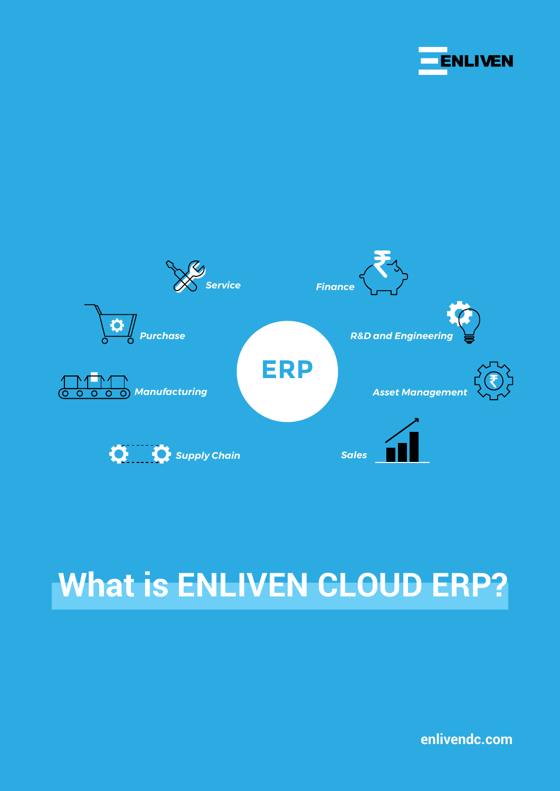



# **What is ENLIVEN CLOUD ERP?**

**enlivendc.com**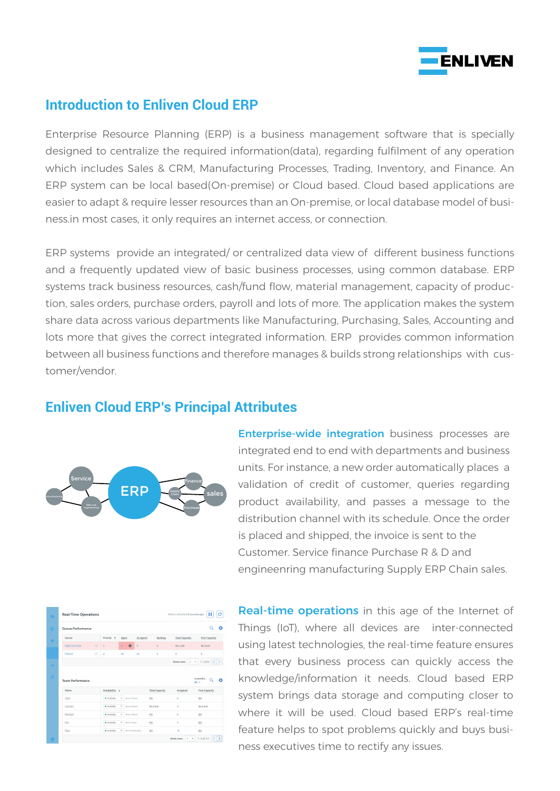

#### **Introduction to Enliven Cloud ERP**

Enterprise Resource Planning (ERP) is a business management software that is specially designed to centralize the required information(data), regarding fulfilment of any operation which includes Sales & CRM, Manufacturing Processes, Trading, Inventory, and Finance. An ERP system can be local based(On-premise) or Cloud based. Cloud based applications are easier to adapt & require lesser resources than an On-premise, or local database model of business.in most cases, it only requires an internet access, or connection.

ERP systems provide an integrated/ or centralized data view of different business functions and a frequently updated view of basic business processes, using common database. ERP systems track business resources, cash/fund flow, material management, capacity of production, sales orders, purchase orders, payroll and lots of more. The application makes the system share data across various departments like Manufacturing, Purchasing, Sales, Accounting and lots more that gives the correct integrated information. ERP provides common information between all business functions and therefore manages & builds strong relationships with customer/vendor.

#### **Enliven Cloud ERP's Principal Attributes**



**Enterprise-wide integration** business processes are integrated end to end with departments and business units. For instance, a new order automatically places a validation of credit of customer, queries regarding product availability, and passes a message to the distribution channel with its schedule. Once the order is placed and shipped, the invoice is sent to the Customer. Service finance Purchase R & D and engineenring manufacturing Supply ERP Chain sales.

| Queue Performance                                                                              |                     |                                         |          |                       |                                                  | O                          |
|------------------------------------------------------------------------------------------------|---------------------|-----------------------------------------|----------|-----------------------|--------------------------------------------------|----------------------------|
| Queue                                                                                          | Priority +          | Open                                    | Assigned | Backlog               | <b>Total Capacity</b>                            | Free Capacity              |
|                                                                                                | 壬<br>T.             | $\boldsymbol{\Theta}$<br>$\overline{4}$ | 4        | $\overline{0}$        | No Limit                                         | No Limit                   |
| <b><i><u>Callenger</u></i></b>                                                                 | 괖<br>$\overline{2}$ | 45                                      | 45       | $\circ$               | $\circ$                                          | $\circ$                    |
|                                                                                                |                     |                                         |          |                       | $\sim$<br>$\overline{\phantom{a}}$<br>Show rows: | $1-2$ of 2 $\langle$ >     |
| <b>Team Performance</b>                                                                        |                     |                                         |          |                       |                                                  | Availability<br>∩<br>All - |
| Name                                                                                           | Availability +      |                                         |          | <b>Total Capacity</b> | Assigned                                         | Free Capacity              |
| $\frac{1}{2} \left( \frac{1}{2} \right) \left( \frac{1}{2} \right) \left( \frac{1}{2} \right)$ | · Available         | w since 5 hours                         | NA       |                       | ö                                                | NA                         |
| Carmen                                                                                         | · Available         | w since 2 hours                         |          | No Limit              | 4                                                | No Limit                   |
| <b>Michael</b>                                                                                 | · Available         | since 2 hours<br>$\star$                | NA       |                       | $\circ$                                          | NA                         |
| to a                                                                                           | · Available         | since 1 hour<br>۰                       | NA       |                       | s                                                | $_{\rm NA}$                |

Real-time operations in this age of the Internet of Things (IoT), where all devices are inter-connected using latest technologies, the real-time feature ensures that every business process can quickly access the knowledge/information it needs. Cloud based ERP system brings data storage and computing closer to where it will be used. Cloud based ERP's real-time feature helps to spot problems quickly and buys business executives time to rectify any issues.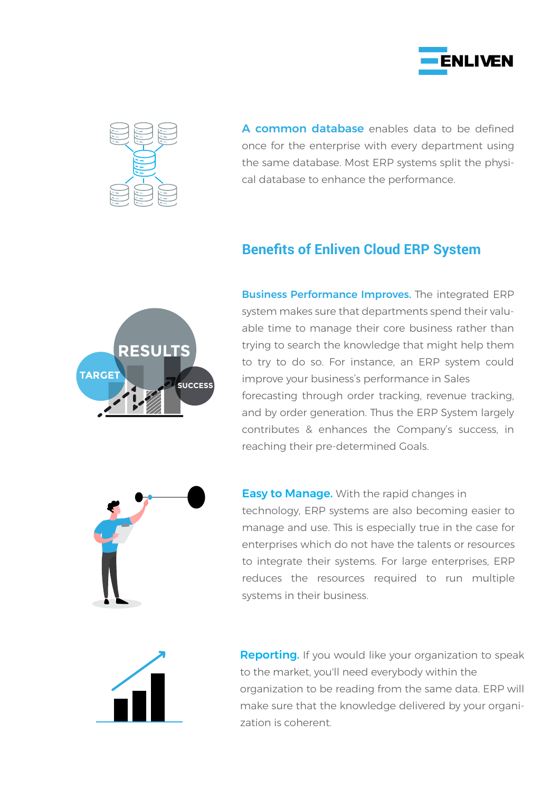



A common database enables data to be defined once for the enterprise with every department using the same database. Most ERP systems split the physical database to enhance the performance.

## **Benefits of Enliven Cloud ERP System**



Business Performance Improves. The integrated ERP system makes sure that departments spend their valuable time to manage their core business rather than trying to search the knowledge that might help them to try to do so. For instance, an ERP system could improve your business's performance in Sales forecasting through order tracking, revenue tracking, and by order generation. Thus the ERP System largely contributes & enhances the Company's success, in reaching their pre-determined Goals.



**Easy to Manage.** With the rapid changes in technology, ERP systems are also becoming easier to manage and use. This is especially true in the case for enterprises which do not have the talents or resources to integrate their systems. For large enterprises, ERP reduces the resources required to run multiple systems in their business.



**Reporting.** If you would like your organization to speak to the market, you'll need everybody within the organization to be reading from the same data. ERP will make sure that the knowledge delivered by your organization is coherent.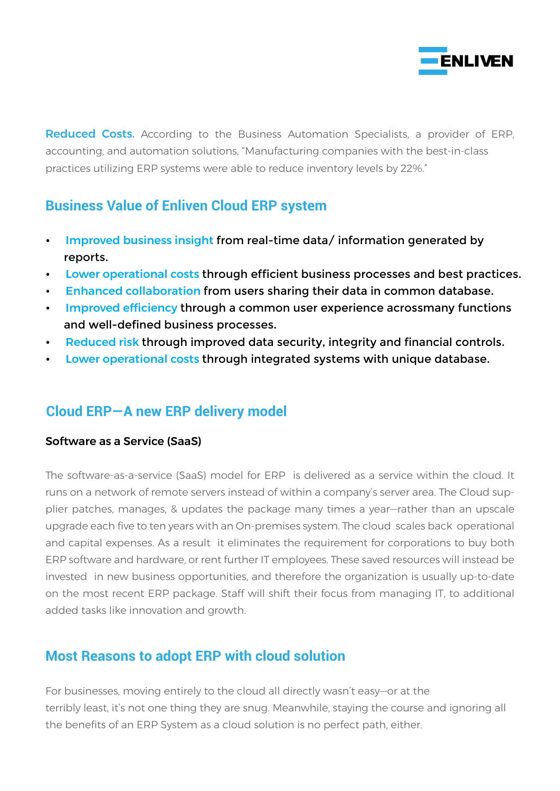

Reduced Costs. According to the Business Automation Specialists, a provider of ERP, accounting, and automation solutions, "Manufacturing companies with the best-in-class practices utilizing ERP systems were able to reduce inventory levels by 22%."

# **Business Value of Enliven Cloud ERP system**

- Improved business insight from real-time data/ information generated by reports.
- Lower operational costs through efficient business processes and best practices.
- Enhanced collaboration from users sharing their data in common database.
- Improved efficiency through a common user experience acrossmany functions and well-defined business processes.
- **Reduced risk through improved data security, integrity and financial controls.**
- **EXECT LOWER OPERATIONAL COSTS THROUGH INTEGRATED SYSTEMS WITH UNIQUE database.**

# **Cloud ERP—A new ERP delivery model**

#### Software as a Service (SaaS)

The software-as-a-service (SaaS) model for ERP is delivered as a service within the cloud. It runs on a network of remote servers instead of within a company's server area. The Cloud supplier patches, manages, & updates the package many times a year—rather than an upscale upgrade each five to ten years with an On-premises system. The cloud scales back operational and capital expenses. As a result it eliminates the requirement for corporations to buy both ERP software and hardware, or rent further IT employees. These saved resources will instead be invested in new business opportunities, and therefore the organization is usually up-to-date on the most recent ERP package. Staff will shift their focus from managing IT, to additional added tasks like innovation and growth.

# **Most Reasons to adopt ERP with cloud solution**

For businesses, moving entirely to the cloud all directly wasn't easy—or at the terribly least, it's not one thing they are snug. Meanwhile, staying the course and ignoring all the benefits of an ERP System as a cloud solution is no perfect path, either.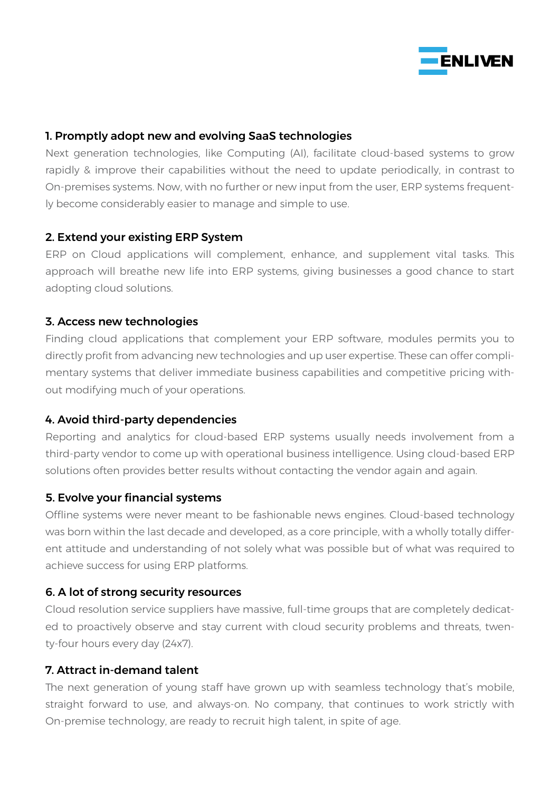

#### 1. Promptly adopt new and evolving SaaS technologies

Next generation technologies, like Computing (AI), facilitate cloud-based systems to grow rapidly & improve their capabilities without the need to update periodically, in contrast to On-premises systems. Now, with no further or new input from the user, ERP systems frequently become considerably easier to manage and simple to use.

#### 2. Extend your existing ERP System

ERP on Cloud applications will complement, enhance, and supplement vital tasks. This approach will breathe new life into ERP systems, giving businesses a good chance to start adopting cloud solutions.

#### 3. Access new technologies

Finding cloud applications that complement your ERP software, modules permits you to directly profit from advancing new technologies and up user expertise. These can offer complimentary systems that deliver immediate business capabilities and competitive pricing without modifying much of your operations.

#### 4. Avoid third-party dependencies

Reporting and analytics for cloud-based ERP systems usually needs involvement from a third-party vendor to come up with operational business intelligence. Using cloud-based ERP solutions often provides better results without contacting the vendor again and again.

#### 5. Evolve your financial systems

Offline systems were never meant to be fashionable news engines. Cloud-based technology was born within the last decade and developed, as a core principle, with a wholly totally different attitude and understanding of not solely what was possible but of what was required to achieve success for using ERP platforms.

#### 6. A lot of strong security resources

Cloud resolution service suppliers have massive, full-time groups that are completely dedicated to proactively observe and stay current with cloud security problems and threats, twenty-four hours every day (24x7).

#### 7. Attract in-demand talent

The next generation of young staff have grown up with seamless technology that's mobile, straight forward to use, and always-on. No company, that continues to work strictly with On-premise technology, are ready to recruit high talent, in spite of age.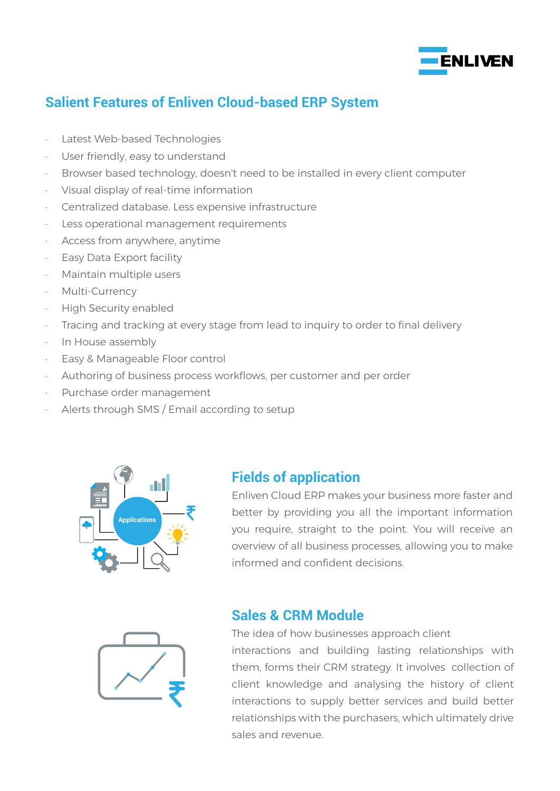

# **Salient Features of Enliven Cloud-based ERP System**

- · Latest Web-based Technologies
- · User friendly, easy to understand
- · Browser based technology, doesn't need to be installed in every client computer
- · Visual display of real-time information
- · Centralized database. Less expensive infrastructure
- Less operational management requirements
- · Access from anywhere, anytime
- · Easy Data Export facility
- Maintain multiple users
- · Multi-Currency
- **High Security enabled**
- · Tracing and tracking at every stage from lead to inquiry to order to final delivery
- · In House assembly
- Easy & Manageable Floor control
- · Authoring of business process workflows, per customer and per order
- Purchase order management
- Alerts through SMS / Email according to setup



#### **Fields of application**

Enliven Cloud ERP makes your business more faster and better by providing you all the important information you require, straight to the point. You will receive an overview of all business processes, allowing you to make informed and confident decisions.



## **Sales & CRM Module**

The idea of how businesses approach client interactions and building lasting relationships with them, forms their CRM strategy. It involves collection of client knowledge and analysing the history of client interactions to supply better services and build better relationships with the purchasers, which ultimately drive sales and revenue.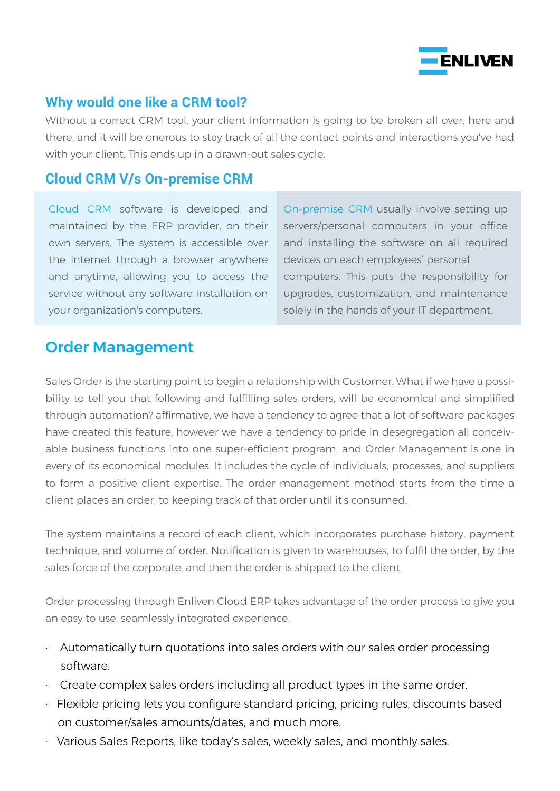

## **Why would one like a CRM tool?**

Without a correct CRM tool, your client information is going to be broken all over, here and there, and it will be onerous to stay track of all the contact points and interactions you've had with your client. This ends up in a drawn-out sales cycle.

## **Cloud CRM V/s On-premise CRM**

Cloud CRM software is developed and maintained by the ERP provider, on their own servers. The system is accessible over the internet through a browser anywhere and anytime, allowing you to access the service without any software installation on your organization's computers.

On-premise CRM usually involve setting up servers/personal computers in your office and installing the software on all required devices on each employees' personal computers. This puts the responsibility for upgrades, customization, and maintenance solely in the hands of your IT department.

# Order Management

Sales Order is the starting point to begin a relationship with Customer. What if we have a possibility to tell you that following and fulfilling sales orders, will be economical and simplified through automation? affirmative, we have a tendency to agree that a lot of software packages have created this feature, however we have a tendency to pride in desegregation all conceivable business functions into one super-efficient program, and Order Management is one in every of its economical modules. It includes the cycle of individuals, processes, and suppliers to form a positive client expertise. The order management method starts from the time a client places an order, to keeping track of that order until it's consumed.

The system maintains a record of each client, which incorporates purchase history, payment technique, and volume of order. Notification is given to warehouses, to fulfil the order, by the sales force of the corporate, and then the order is shipped to the client.

Order processing through Enliven Cloud ERP takes advantage of the order process to give you an easy to use, seamlessly integrated experience.

- · Automatically turn quotations into sales orders with our sales order processing software.
- Create complex sales orders including all product types in the same order.
- Flexible pricing lets you configure standard pricing, pricing rules, discounts based on customer/sales amounts/dates, and much more.
- · Various Sales Reports, like today's sales, weekly sales, and monthly sales.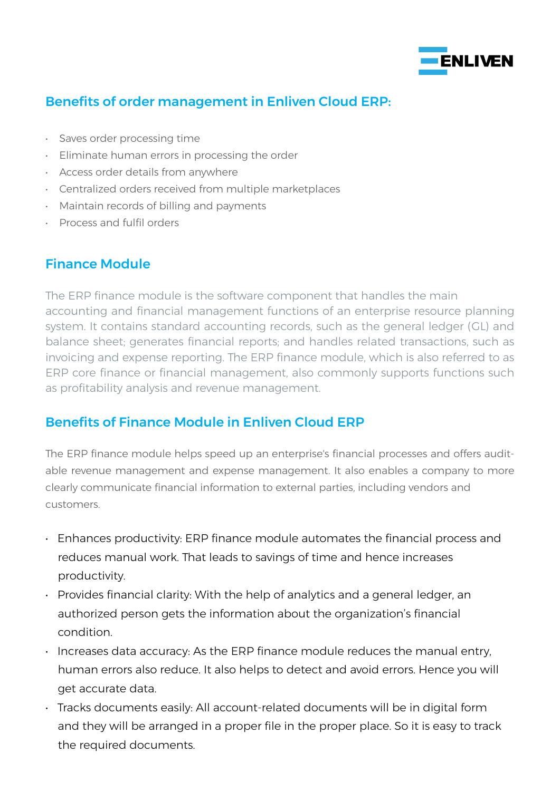

## Benefits of order management in Enliven Cloud ERP:

- Saves order processing time
- Eliminate human errors in processing the order
- Access order details from anywhere
- Centralized orders received from multiple marketplaces
- Maintain records of billing and payments
- Process and fulfil orders

## Finance Module

The ERP finance module is the software component that handles the main accounting and financial management functions of an enterprise resource planning system. It contains standard accounting records, such as the general ledger (GL) and balance sheet; generates financial reports; and handles related transactions, such as invoicing and expense reporting. The ERP finance module, which is also referred to as ERP core finance or financial management, also commonly supports functions such as profitability analysis and revenue management.

## Benefits of Finance Module in Enliven Cloud ERP

The ERP finance module helps speed up an enterprise's financial processes and offers auditable revenue management and expense management. It also enables a company to more clearly communicate financial information to external parties, including vendors and customers.

- Enhances productivity: ERP finance module automates the financial process and reduces manual work. That leads to savings of time and hence increases productivity.
- Provides financial clarity: With the help of analytics and a general ledger, an authorized person gets the information about the organization's financial condition.
- Increases data accuracy: As the ERP finance module reduces the manual entry, human errors also reduce. It also helps to detect and avoid errors. Hence you will get accurate data.
- Tracks documents easily: All account-related documents will be in digital form and they will be arranged in a proper file in the proper place. So it is easy to track the required documents.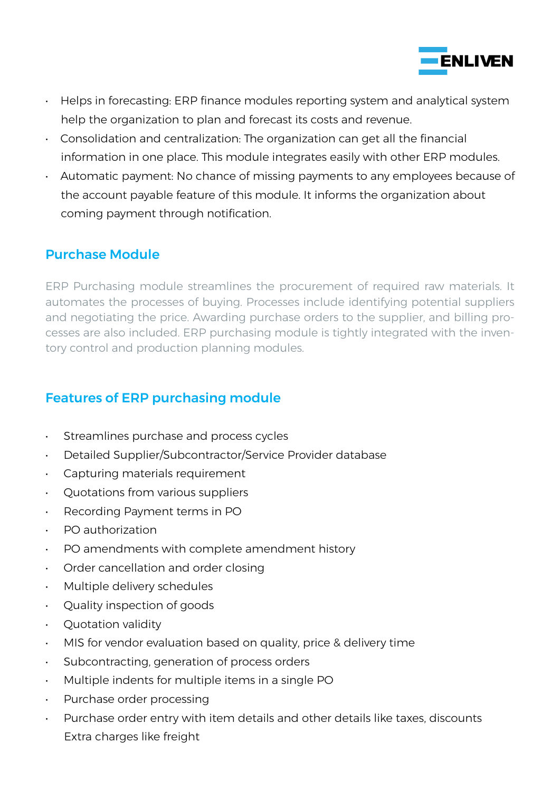

- Helps in forecasting: ERP finance modules reporting system and analytical system help the organization to plan and forecast its costs and revenue.
- Consolidation and centralization: The organization can get all the financial information in one place. This module integrates easily with other ERP modules.
- Automatic payment: No chance of missing payments to any employees because of the account payable feature of this module. It informs the organization about coming payment through notification.

## Purchase Module

ERP Purchasing module streamlines the procurement of required raw materials. It automates the processes of buying. Processes include identifying potential suppliers and negotiating the price. Awarding purchase orders to the supplier, and billing processes are also included. ERP purchasing module is tightly integrated with the inventory control and production planning modules.

# Features of ERP purchasing module

- Streamlines purchase and process cycles
- Detailed Supplier/Subcontractor/Service Provider database
- Capturing materials requirement
- Quotations from various suppliers
- Recording Payment terms in PO
- PO authorization
- PO amendments with complete amendment history
- Order cancellation and order closing
- Multiple delivery schedules
- Quality inspection of goods
- Quotation validity
- MIS for vendor evaluation based on quality, price & delivery time
- Subcontracting, generation of process orders
- Multiple indents for multiple items in a single PO
- Purchase order processing
- Purchase order entry with item details and other details like taxes, discounts Extra charges like freight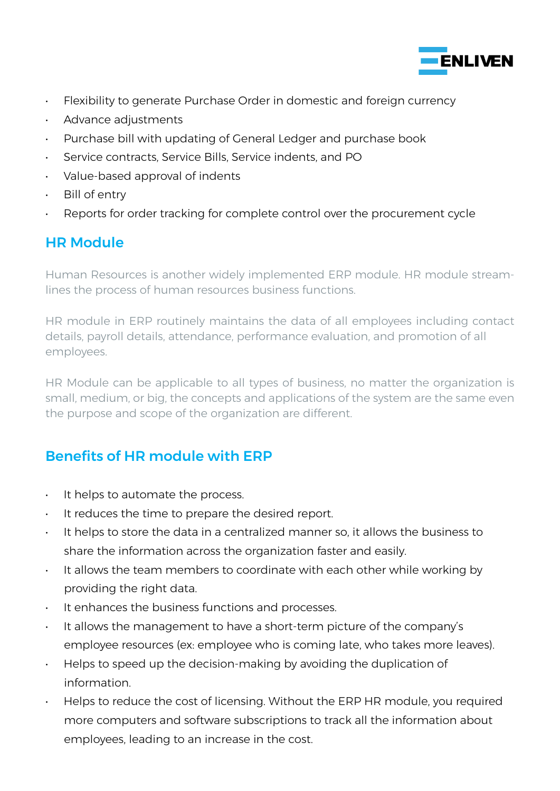

- Flexibility to generate Purchase Order in domestic and foreign currency
- Advance adjustments
- Purchase bill with updating of General Ledger and purchase book
- Service contracts, Service Bills, Service indents, and PO
- Value-based approval of indents
- Bill of entry
- Reports for order tracking for complete control over the procurement cycle

# HR Module

Human Resources is another widely implemented ERP module. HR module streamlines the process of human resources business functions.

HR module in ERP routinely maintains the data of all employees including contact details, payroll details, attendance, performance evaluation, and promotion of all employees.

HR Module can be applicable to all types of business, no matter the organization is small, medium, or big, the concepts and applications of the system are the same even the purpose and scope of the organization are different.

# Benefits of HR module with ERP

- It helps to automate the process.
- It reduces the time to prepare the desired report.
- It helps to store the data in a centralized manner so, it allows the business to share the information across the organization faster and easily.
- It allows the team members to coordinate with each other while working by providing the right data.
- It enhances the business functions and processes.
- It allows the management to have a short-term picture of the company's employee resources (ex: employee who is coming late, who takes more leaves).
- Helps to speed up the decision-making by avoiding the duplication of information.
- Helps to reduce the cost of licensing. Without the ERP HR module, you required more computers and software subscriptions to track all the information about employees, leading to an increase in the cost.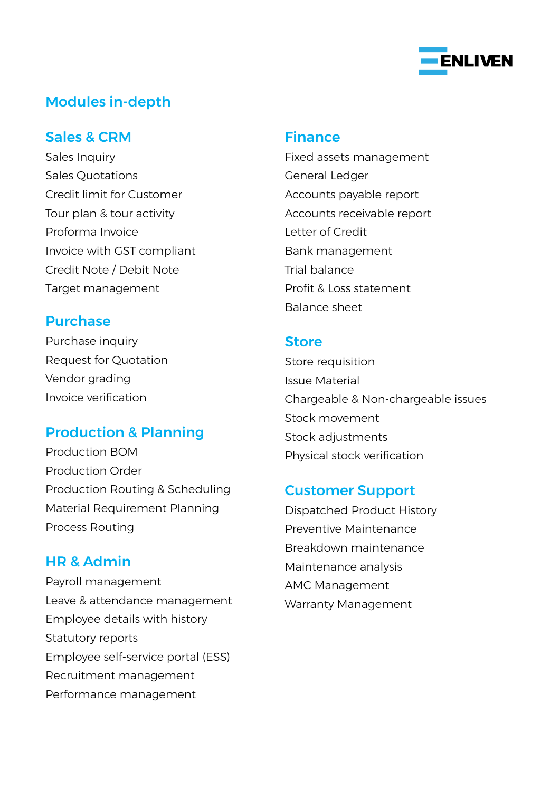

# Modules in-depth

#### Sales & CRM

Sales Inquiry Sales Quotations Credit limit for Customer Tour plan & tour activity Proforma Invoice Invoice with GST compliant Credit Note / Debit Note Target management

#### Purchase

Purchase inquiry Request for Quotation Vendor grading Invoice verification

## Production & Planning

Production BOM Production Order Production Routing & Scheduling Material Requirement Planning Process Routing

## HR & Admin

Payroll management Leave & attendance management Employee details with history Statutory reports Employee self-service portal (ESS) Recruitment management Performance management

#### Finance

Fixed assets management General Ledger Accounts payable report Accounts receivable report Letter of Credit Bank management Trial balance Profit & Loss statement Balance sheet

#### **Store**

Store requisition Issue Material Chargeable & Non-chargeable issues Stock movement Stock adjustments Physical stock verification

## Customer Support

Dispatched Product History Preventive Maintenance Breakdown maintenance Maintenance analysis AMC Management Warranty Management